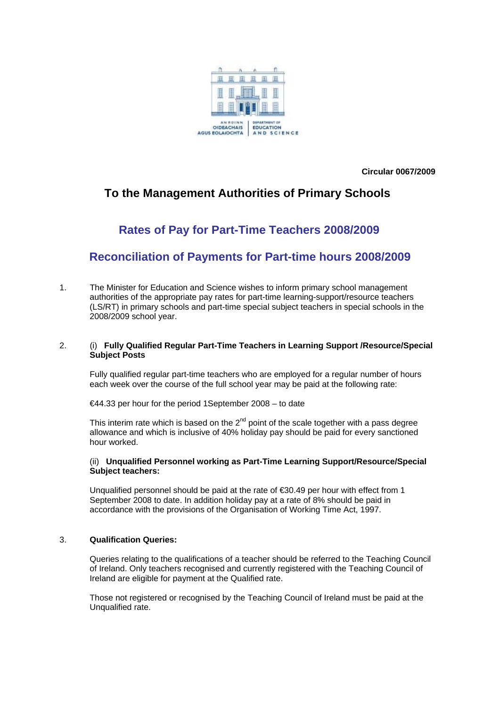

**Circular 0067/2009** 

# **To the Management Authorities of Primary Schools**

# **Rates of Pay for Part-Time Teachers 2008/2009**

# **Reconciliation of Payments for Part-time hours 2008/2009**

1. The Minister for Education and Science wishes to inform primary school management authorities of the appropriate pay rates for part-time learning-support/resource teachers (LS/RT) in primary schools and part-time special subject teachers in special schools in the 2008/2009 school year.

### 2. (i) **Fully Qualified Regular Part-Time Teachers in Learning Support /Resource/Special Subject Posts**

Fully qualified regular part-time teachers who are employed for a regular number of hours each week over the course of the full school year may be paid at the following rate:

€44.33 per hour for the period 1September 2008 – to date

This interim rate which is based on the  $2<sup>nd</sup>$  point of the scale together with a pass degree allowance and which is inclusive of 40% holiday pay should be paid for every sanctioned hour worked.

#### (ii) **Unqualified Personnel working as Part-Time Learning Support/Resource/Special Subject teachers:**

Unqualified personnel should be paid at the rate of €30.49 per hour with effect from 1 September 2008 to date. In addition holiday pay at a rate of 8% should be paid in accordance with the provisions of the Organisation of Working Time Act, 1997.

### 3. **Qualification Queries:**

Queries relating to the qualifications of a teacher should be referred to the Teaching Council of Ireland. Only teachers recognised and currently registered with the Teaching Council of Ireland are eligible for payment at the Qualified rate.

Those not registered or recognised by the Teaching Council of Ireland must be paid at the Unqualified rate.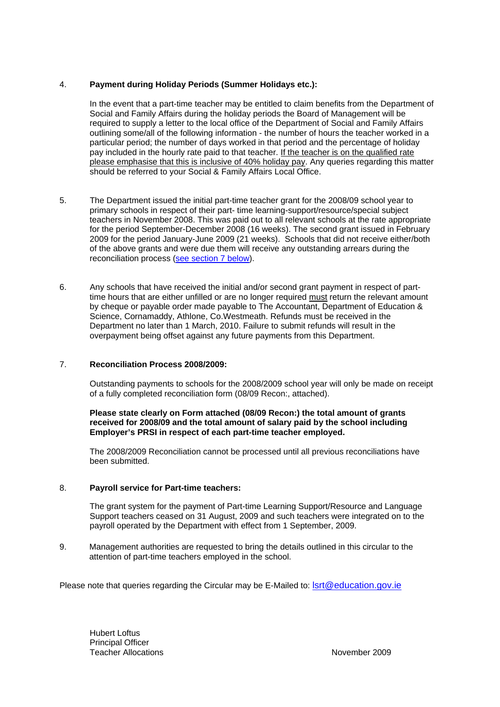## <span id="page-1-0"></span>4. **Payment during Holiday Periods (Summer Holidays etc.):**

In the event that a part-time teacher may be entitled to claim benefits from the Department of Social and Family Affairs during the holiday periods the Board of Management will be required to supply a letter to the local office of the Department of Social and Family Affairs outlining some/all of the following information - the number of hours the teacher worked in a particular period; the number of days worked in that period and the percentage of holiday pay included in the hourly rate paid to that teacher. If the teacher is on the qualified rate please emphasise that this is inclusive of 40% holiday pay. Any queries regarding this matter should be referred to your Social & Family Affairs Local Office.

- 5. The Department issued the initial part-time teacher grant for the 2008/09 school year to primary schools in respect of their part- time learning-support/resource/special subject teachers in November 2008. This was paid out to all relevant schools at the rate appropriate for the period September-December 2008 (16 weeks). The second grant issued in February 2009 for the period January-June 2009 (21 weeks). Schools that did not receive either/both of the above grants and were due them will receive any outstanding arrears during the reconciliation process [\(see section 7 below](#page-1-0)).
- 6. Any schools that have received the initial and/or second grant payment in respect of parttime hours that are either unfilled or are no longer required must return the relevant amount by cheque or payable order made payable to The Accountant, Department of Education & Science, Cornamaddy, Athlone, Co.Westmeath. Refunds must be received in the Department no later than 1 March, 2010. Failure to submit refunds will result in the overpayment being offset against any future payments from this Department.

## 7. **Reconciliation Process 2008/2009:**

Outstanding payments to schools for the 2008/2009 school year will only be made on receipt of a fully completed reconciliation form (08/09 Recon:, attached).

#### **Please state clearly on Form attached (08/09 Recon:) the total amount of grants received for 2008/09 and the total amount of salary paid by the school including Employer's PRSI in respect of each part-time teacher employed.**

The 2008/2009 Reconciliation cannot be processed until all previous reconciliations have been submitted.

### 8. **Payroll service for Part-time teachers:**

The grant system for the payment of Part-time Learning Support/Resource and Language Support teachers ceased on 31 August, 2009 and such teachers were integrated on to the payroll operated by the Department with effect from 1 September, 2009.

9. Management authorities are requested to bring the details outlined in this circular to the attention of part-time teachers employed in the school.

Please note that queries regarding the Circular may be E-Mailed to: [lsrt@education.gov.ie](mailto:lsrt@education.gov.ie)

 Hubert Loftus Principal Officer **Teacher Allocations** November 2009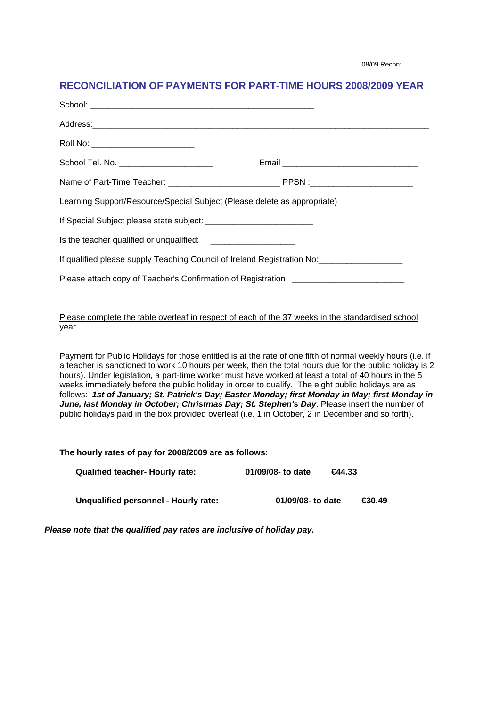08/09 Recon:

## **RECONCILIATION OF PAYMENTS FOR PART-TIME HOURS 2008/2009 YEAR**

| Roll No: ________________________________                                                            |  |  |  |
|------------------------------------------------------------------------------------------------------|--|--|--|
| School Tel. No. _______________________                                                              |  |  |  |
|                                                                                                      |  |  |  |
| Learning Support/Resource/Special Subject (Please delete as appropriate)                             |  |  |  |
|                                                                                                      |  |  |  |
|                                                                                                      |  |  |  |
| If qualified please supply Teaching Council of Ireland Registration No: ____________________________ |  |  |  |
| Please attach copy of Teacher's Confirmation of Registration ____________________                    |  |  |  |
|                                                                                                      |  |  |  |

### Please complete the table overleaf in respect of each of the 37 weeks in the standardised school year.

Payment for Public Holidays for those entitled is at the rate of one fifth of normal weekly hours (i.e. if a teacher is sanctioned to work 10 hours per week, then the total hours due for the public holiday is 2 hours). Under legislation, a part-time worker must have worked at least a total of 40 hours in the 5 weeks immediately before the public holiday in order to qualify. The eight public holidays are as follows: *1st of January; St. Patrick's Day; Easter Monday; first Monday in May; first Monday in June, last Monday in October; Christmas Day; St. Stephen's Day*. Please insert the number of public holidays paid in the box provided overleaf (i.e. 1 in October, 2 in December and so forth).

**The hourly rates of pay for 2008/2009 are as follows:** 

| <b>Qualified teacher- Hourly rate:</b> | 01/09/08- to date | 644.33 |                    |
|----------------------------------------|-------------------|--------|--------------------|
| Unqualified personnel - Hourly rate:   | 01/09/08- to date |        | <del>⊆</del> 30.49 |

*Please note that the qualified pay rates are inclusive of holiday pay.*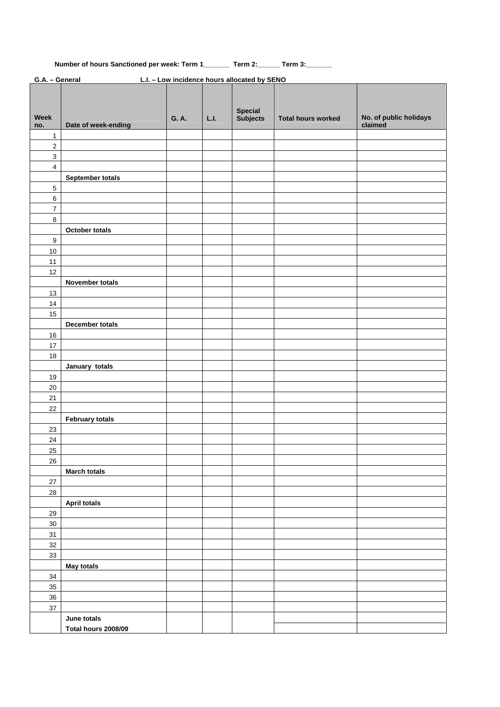## **Number of hours Sanctioned per week: Term 1\_\_\_\_\_\_\_ Term 2:\_\_\_\_\_\_ Term 3:\_\_\_\_\_\_\_**

| G.A. - General<br>L.I. - Low incidence hours allocated by SENO |                        |       |      |                |                           |                        |
|----------------------------------------------------------------|------------------------|-------|------|----------------|---------------------------|------------------------|
|                                                                |                        |       |      | <b>Special</b> |                           |                        |
| Week                                                           |                        | G. A. | L.I. | Subjects       | <b>Total hours worked</b> | No. of public holidays |
| no.                                                            | Date of week-ending    |       |      |                |                           | claimed                |
| $\mathbf{1}$                                                   |                        |       |      |                |                           |                        |
| $\overline{2}$                                                 |                        |       |      |                |                           |                        |
| $\mathbf{3}$                                                   |                        |       |      |                |                           |                        |
| $\overline{4}$                                                 |                        |       |      |                |                           |                        |
|                                                                | September totals       |       |      |                |                           |                        |
| 5                                                              |                        |       |      |                |                           |                        |
| 6                                                              |                        |       |      |                |                           |                        |
| $\overline{7}$                                                 |                        |       |      |                |                           |                        |
| $\bf 8$                                                        |                        |       |      |                |                           |                        |
|                                                                | October totals         |       |      |                |                           |                        |
| $\boldsymbol{9}$                                               |                        |       |      |                |                           |                        |
| $10$                                                           |                        |       |      |                |                           |                        |
| 11                                                             |                        |       |      |                |                           |                        |
| 12                                                             |                        |       |      |                |                           |                        |
|                                                                | November totals        |       |      |                |                           |                        |
| 13                                                             |                        |       |      |                |                           |                        |
| 14                                                             |                        |       |      |                |                           |                        |
| 15                                                             |                        |       |      |                |                           |                        |
|                                                                | December totals        |       |      |                |                           |                        |
| $16\,$                                                         |                        |       |      |                |                           |                        |
| $17$                                                           |                        |       |      |                |                           |                        |
| 18                                                             |                        |       |      |                |                           |                        |
|                                                                | January totals         |       |      |                |                           |                        |
| 19                                                             |                        |       |      |                |                           |                        |
|                                                                |                        |       |      |                |                           |                        |
| $20\,$                                                         |                        |       |      |                |                           |                        |
| 21                                                             |                        |       |      |                |                           |                        |
| 22                                                             |                        |       |      |                |                           |                        |
|                                                                | <b>February totals</b> |       |      |                |                           |                        |
| 23                                                             |                        |       |      |                |                           |                        |
| 24                                                             |                        |       |      |                |                           |                        |
| 25                                                             |                        |       |      |                |                           |                        |
| $26\,$                                                         |                        |       |      |                |                           |                        |
|                                                                | <b>March totals</b>    |       |      |                |                           |                        |
| $27\,$                                                         |                        |       |      |                |                           |                        |
| 28                                                             |                        |       |      |                |                           |                        |
|                                                                | <b>April totals</b>    |       |      |                |                           |                        |
| 29                                                             |                        |       |      |                |                           |                        |
| $30\,$                                                         |                        |       |      |                |                           |                        |
| 31                                                             |                        |       |      |                |                           |                        |
| 32                                                             |                        |       |      |                |                           |                        |
| 33                                                             |                        |       |      |                |                           |                        |
|                                                                | <b>May totals</b>      |       |      |                |                           |                        |
| 34                                                             |                        |       |      |                |                           |                        |
| 35                                                             |                        |       |      |                |                           |                        |
| 36                                                             |                        |       |      |                |                           |                        |
| $37\,$                                                         |                        |       |      |                |                           |                        |
|                                                                | June totals            |       |      |                |                           |                        |
|                                                                | Total hours 2008/09    |       |      |                |                           |                        |